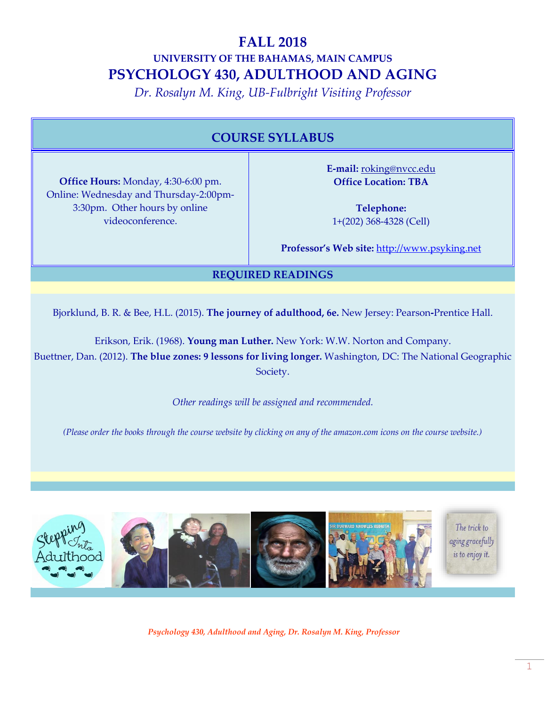# **FALL 2018 UNIVERSITY OF THE BAHAMAS, MAIN CAMPUS PSYCHOLOGY 430, ADULTHOOD AND AGING**

*Dr. Rosalyn M. King, UB-Fulbright Visiting Professor*

# **COURSE SYLLABUS**

**Office Hours:** Monday, 4:30-6:00 pm. Online: Wednesday and Thursday-2:00pm-3:30pm. Other hours by online videoconference.

**E-mail:** roking@nvcc.edu **Office Location: TBA**

**Telephone:** 1+(202) 368-4328 (Cell)

**Professor's Web site:** [http://www.psyking.net](http://www.psyking.net/)

# **REQUIRED READINGS**

Bjorklund, B. R. & Bee, H.L. (2015). **The journey of adulthood, 6e.** New Jersey: Pearson**-**Prentice Hall.

Erikson, Erik. (1968). **Young man Luther.** New York: W.W. Norton and Company. Buettner, Dan. (2012). **The blue zones: 9 lessons for living longer.** Washington, DC: The National Geographic Society.

*Other readings will be assigned and recommended.*

*(Please order the books through the course website by clicking on any of the amazon.com icons on the course website.)*

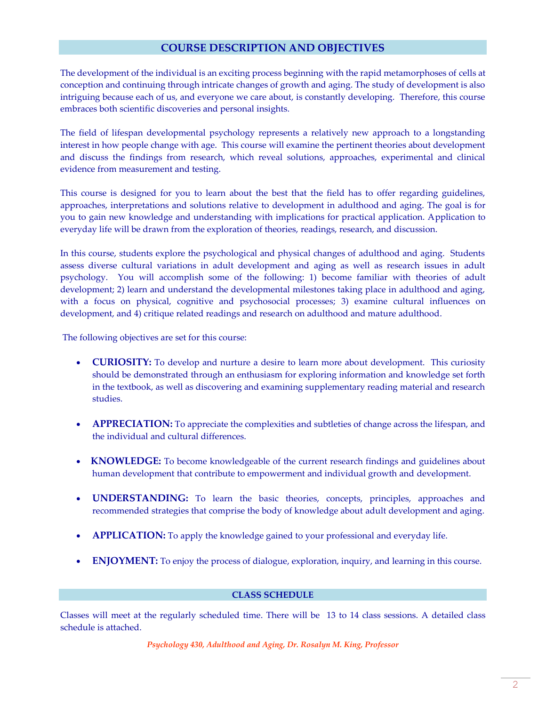# **COURSE DESCRIPTION AND OBJECTIVES**

The development of the individual is an exciting process beginning with the rapid metamorphoses of cells at conception and continuing through intricate changes of growth and aging. The study of development is also intriguing because each of us, and everyone we care about, is constantly developing. Therefore, this course embraces both scientific discoveries and personal insights.

The field of lifespan developmental psychology represents a relatively new approach to a longstanding interest in how people change with age. This course will examine the pertinent theories about development and discuss the findings from research, which reveal solutions, approaches, experimental and clinical evidence from measurement and testing.

This course is designed for you to learn about the best that the field has to offer regarding guidelines, approaches, interpretations and solutions relative to development in adulthood and aging. The goal is for you to gain new knowledge and understanding with implications for practical application. Application to everyday life will be drawn from the exploration of theories, readings, research, and discussion.

In this course, students explore the psychological and physical changes of adulthood and aging. Students assess diverse cultural variations in adult development and aging as well as research issues in adult psychology. You will accomplish some of the following: 1) become familiar with theories of adult development; 2) learn and understand the developmental milestones taking place in adulthood and aging, with a focus on physical, cognitive and psychosocial processes; 3) examine cultural influences on development, and 4) critique related readings and research on adulthood and mature adulthood.

The following objectives are set for this course:

- **CURIOSITY:** To develop and nurture a desire to learn more about development. This curiosity should be demonstrated through an enthusiasm for exploring information and knowledge set forth in the textbook, as well as discovering and examining supplementary reading material and research studies.
- **APPRECIATION:** To appreciate the complexities and subtleties of change across the lifespan, and the individual and cultural differences.
- **KNOWLEDGE:** To become knowledgeable of the current research findings and guidelines about human development that contribute to empowerment and individual growth and development.
- **UNDERSTANDING:** To learn the basic theories, concepts, principles, approaches and recommended strategies that comprise the body of knowledge about adult development and aging.
- **APPLICATION:** To apply the knowledge gained to your professional and everyday life.
- **ENJOYMENT:** To enjoy the process of dialogue, exploration, inquiry, and learning in this course.

## **CLASS SCHEDULE**

Classes will meet at the regularly scheduled time. There will be 13 to 14 class sessions. A detailed class schedule is attached.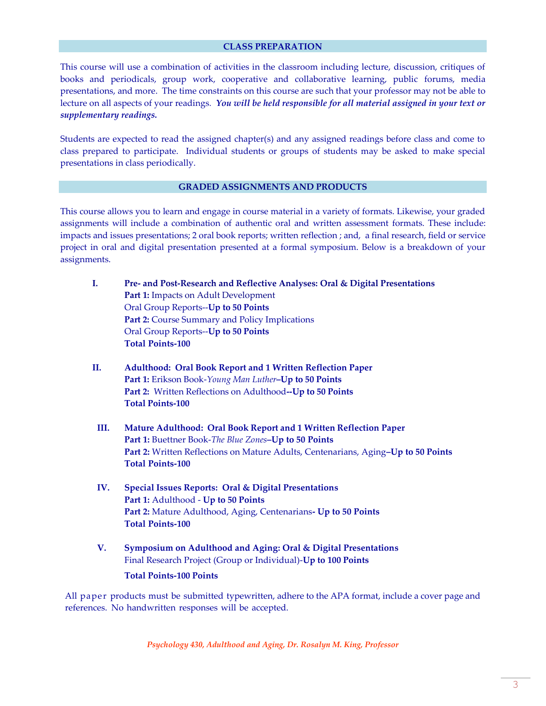#### **CLASS PREPARATION**

This course will use a combination of activities in the classroom including lecture, discussion, critiques of books and periodicals, group work, cooperative and collaborative learning, public forums, media presentations, and more.The time constraints on this course are such that your professor may not be able to lecture on all aspects of your readings*. You will be held responsible for all material assigned in your text or supplementary readings.*

Students are expected to read the assigned chapter(s) and any assigned readings before class and come to class prepared to participate. Individual students or groups of students may be asked to make special presentations in class periodically.

## **GRADED ASSIGNMENTS AND PRODUCTS**

This course allows you to learn and engage in course material in a variety of formats. Likewise, your graded assignments will include a combination of authentic oral and written assessment formats. These include: impacts and issues presentations; 2 oral book reports; written reflection ; and, a final research, field or service project in oral and digital presentation presented at a formal symposium. Below is a breakdown of your assignments.

- **I. Pre- and Post-Research and Reflective Analyses: Oral & Digital Presentations Part 1:** Impacts on Adult Development Oral Group Reports--**Up to 50 Points** Part 2: Course Summary and Policy Implications Oral Group Reports--**Up to 50 Points Total Points-100**
- **II. Adulthood: Oral Book Report and 1 Written Reflection Paper Part 1:** Erikson Book-*Young Man Luther***–Up to 50 Points Part 2:** Written Reflections on Adulthood**--Up to 50 Points Total Points-100**
- **III. Mature Adulthood: Oral Book Report and 1 Written Reflection Paper Part 1:** Buettner Book-*The Blue Zones***–Up to 50 Points Part 2:** Written Reflections on Mature Adults, Centenarians, Aging**–Up to 50 Points Total Points-100**
- **IV. Special Issues Reports: Oral & Digital Presentations Part 1:** Adulthood - **Up to 50 Points Part 2:** Mature Adulthood, Aging, Centenarians**- Up to 50 Points Total Points-100**
- **V. Symposium on Adulthood and Aging: Oral & Digital Presentations** Final Research Project (Group or Individual)-**Up to 100 Points**

#### **Total Points-100 Points**

All paper products must be submitted typewritten, adhere to the APA format, include a cover page and references. No handwritten responses will be accepted.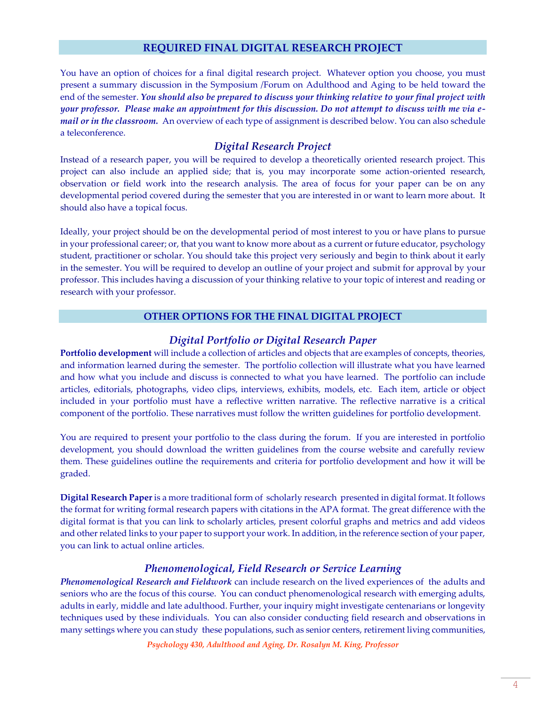# **REQUIRED FINAL DIGITAL RESEARCH PROJECT**

You have an option of choices for a final digital research project. Whatever option you choose, you must present a summary discussion in the Symposium /Forum on Adulthood and Aging to be held toward the end of the semester. *You should also be prepared to discuss your thinking relative to your final project with your professor. Please make an appointment for this discussion. Do not attempt to discuss with me via email or in the classroom.* An overview of each type of assignment is described below. You can also schedule a teleconference.

# *Digital Research Project*

Instead of a research paper, you will be required to develop a theoretically oriented research project. This project can also include an applied side; that is, you may incorporate some action-oriented research, observation or field work into the research analysis. The area of focus for your paper can be on any developmental period covered during the semester that you are interested in or want to learn more about. It should also have a topical focus.

Ideally, your project should be on the developmental period of most interest to you or have plans to pursue in your professional career; or, that you want to know more about as a current or future educator, psychology student, practitioner or scholar. You should take this project very seriously and begin to think about it early in the semester. You will be required to develop an outline of your project and submit for approval by your professor. This includes having a discussion of your thinking relative to your topic of interest and reading or research with your professor.

### **OTHER OPTIONS FOR THE FINAL DIGITAL PROJECT**

# *Digital Portfolio or Digital Research Paper*

**Portfolio development** will include a collection of articles and objects that are examples of concepts, theories, and information learned during the semester. The portfolio collection will illustrate what you have learned and how what you include and discuss is connected to what you have learned. The portfolio can include articles, editorials, photographs, video clips, interviews, exhibits, models, etc. Each item, article or object included in your portfolio must have a reflective written narrative. The reflective narrative is a critical component of the portfolio. These narratives must follow the written guidelines for portfolio development.

You are required to present your portfolio to the class during the forum. If you are interested in portfolio development, you should download the written guidelines from the course website and carefully review them. These guidelines outline the requirements and criteria for portfolio development and how it will be graded.

**Digital Research Paper** is a more traditional form of scholarly research presented in digital format. It follows the format for writing formal research papers with citations in the APA format. The great difference with the digital format is that you can link to scholarly articles, present colorful graphs and metrics and add videos and other related links to your paper to support your work. In addition, in the reference section of your paper, you can link to actual online articles.

# *Phenomenological, Field Research or Service Learning*

*Phenomenological Research and Fieldwork* can include research on the lived experiences of the adults and seniors who are the focus of this course. You can conduct phenomenological research with emerging adults, adults in early, middle and late adulthood. Further, your inquiry might investigate centenarians or longevity techniques used by these individuals. You can also consider conducting field research and observations in many settings where you can study these populations, such as senior centers, retirement living communities,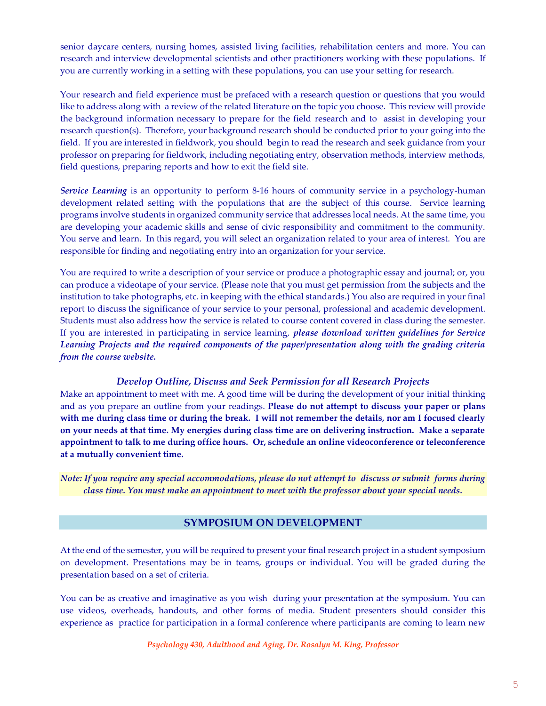senior daycare centers, nursing homes, assisted living facilities, rehabilitation centers and more. You can research and interview developmental scientists and other practitioners working with these populations. If you are currently working in a setting with these populations, you can use your setting for research.

Your research and field experience must be prefaced with a research question or questions that you would like to address along with a review of the related literature on the topic you choose. This review will provide the background information necessary to prepare for the field research and to assist in developing your research question(s). Therefore, your background research should be conducted prior to your going into the field. If you are interested in fieldwork, you should begin to read the research and seek guidance from your professor on preparing for fieldwork, including negotiating entry, observation methods, interview methods, field questions, preparing reports and how to exit the field site.

*Service Learning* is an opportunity to perform 8-16 hours of community service in a psychology-human development related setting with the populations that are the subject of this course. Service learning programs involve students in organized community service that addresses local needs. At the same time, you are developing your academic skills and sense of civic responsibility and commitment to the community. You serve and learn. In this regard, you will select an organization related to your area of interest. You are responsible for finding and negotiating entry into an organization for your service.

You are required to write a description of your service or produce a photographic essay and journal; or, you can produce a videotape of your service. (Please note that you must get permission from the subjects and the institution to take photographs, etc. in keeping with the ethical standards.) You also are required in your final report to discuss the significance of your service to your personal, professional and academic development. Students must also address how the service is related to course content covered in class during the semester. If you are interested in participating in service learning, *please download written guidelines for Service Learning Projects and the required components of the paper/presentation along with the grading criteria from the course website.*

# *Develop Outline, Discuss and Seek Permission for all Research Projects*

Make an appointment to meet with me. A good time will be during the development of your initial thinking and as you prepare an outline from your readings. **Please do not attempt to discuss your paper or plans with me during class time or during the break. I will not remember the details, nor am I focused clearly on your needs at that time. My energies during class time are on delivering instruction. Make a separate appointment to talk to me during office hours. Or, schedule an online videoconference or teleconference at a mutually convenient time.**

*Note: If you require any special accommodations, please do not attempt to discuss or submit forms during class time. You must make an appointment to meet with the professor about your special needs.*

# **SYMPOSIUM ON DEVELOPMENT**

At the end of the semester, you will be required to present your final research project in a student symposium on development. Presentations may be in teams, groups or individual. You will be graded during the presentation based on a set of criteria.

You can be as creative and imaginative as you wish during your presentation at the symposium. You can use videos, overheads, handouts, and other forms of media. Student presenters should consider this experience as practice for participation in a formal conference where participants are coming to learn new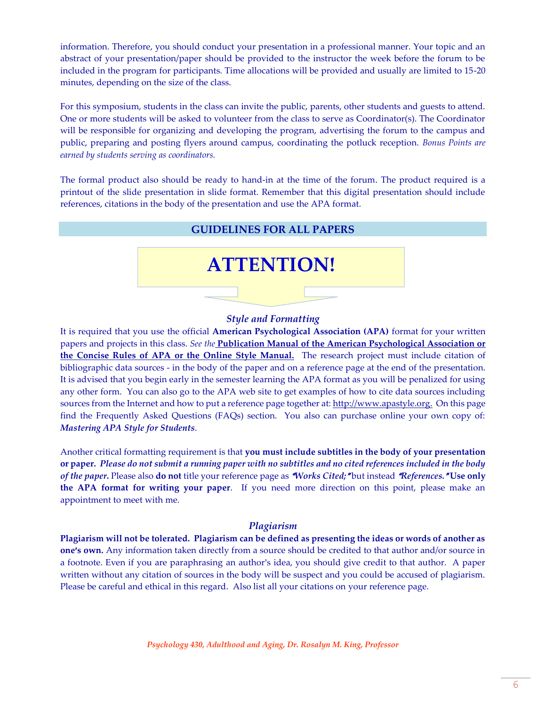information. Therefore, you should conduct your presentation in a professional manner. Your topic and an abstract of your presentation/paper should be provided to the instructor the week before the forum to be included in the program for participants. Time allocations will be provided and usually are limited to 15-20 minutes, depending on the size of the class.

For this symposium, students in the class can invite the public, parents, other students and guests to attend. One or more students will be asked to volunteer from the class to serve as Coordinator(s). The Coordinator will be responsible for organizing and developing the program, advertising the forum to the campus and public, preparing and posting flyers around campus, coordinating the potluck reception. *Bonus Points are earned by students serving as coordinators.*

The formal product also should be ready to hand-in at the time of the forum. The product required is a printout of the slide presentation in slide format. Remember that this digital presentation should include references, citations in the body of the presentation and use the APA format.



### *Style and Formatting*

It is required that you use the official **American Psychological Association (APA)** format for your written papers and projects in this class. *See the* **Publication Manual of the American Psychological Association or the Concise Rules of APA or the Online Style Manual.** The research project must include citation of bibliographic data sources - in the body of the paper and on a reference page at the end of the presentation. It is advised that you begin early in the semester learning the APA format as you will be penalized for using any other form. You can also go to the APA web site to get examples of how to cite data sources including sources from the Internet and how to put a reference page together at: http://www.apastyle.org. On this page find the Frequently Asked Questions (FAQs) section. You also can purchase online your own copy of: *Mastering APA Style for Students*.

Another critical formatting requirement is that **you must include subtitles in the body of your presentation or paper.** *Please do not submit a running paper with no subtitles and no cited references included in the body of the paper*. Please also **do not** title your reference page as "*Works Cited;*" but instead "*References.*" Use only **the APA format for writing your paper**. If you need more direction on this point, please make an appointment to meet with me.

# *Plagiarism*

**Plagiarism will not be tolerated. Plagiarism can be defined as presenting the ideas or words of another as one's own.** Any information taken directly from a source should be credited to that author and/or source in a footnote. Even if you are paraphrasing an author's idea, you should give credit to that author. A paper written without any citation of sources in the body will be suspect and you could be accused of plagiarism. Please be careful and ethical in this regard. Also list all your citations on your reference page.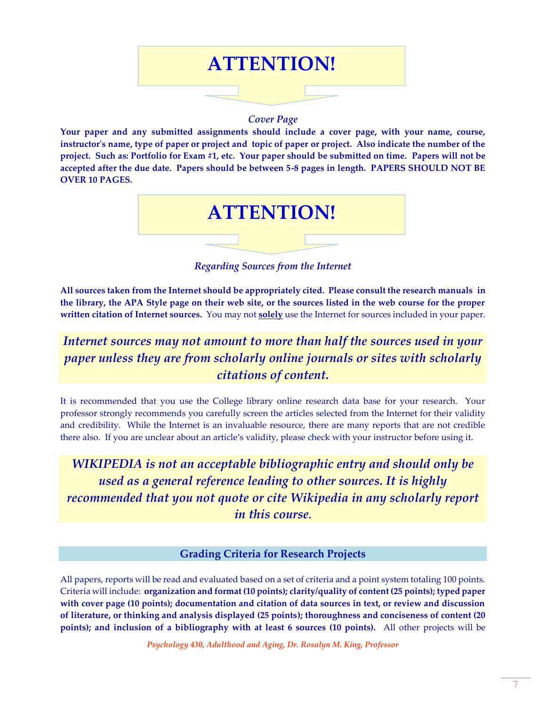

# *Cover Page*

**Your paper and any submitted assignments should include a cover page, with your name, course, instructor's name, type of paper or project and topic of paper or project. Also indicate the number of the project. Such as: Portfolio for Exam #1, etc. Your paper should be submitted on time. Papers will not be accepted after the due date. Papers should be between 5-8 pages in length. PAPERS SHOULD NOT BE OVER 10 PAGES.**



*Regarding Sources from the Internet*

**All sources taken from the Internet should be appropriately cited. Please consult the research manuals in the library, the APA Style page on their web site, or the sources listed in the web course for the proper written citation of Internet sources.** You may not **solely** use the Internet for sources included in your paper.

# *Internet sources may not amount to more than half the sources used in your paper unless they are from scholarly online journals or sites with scholarly citations of content.*

It is recommended that you use the College library online research data base for your research. Your professor strongly recommends you carefully screen the articles selected from the Internet for their validity and credibility. While the Internet is an invaluable resource, there are many reports that are not credible there also. If you are unclear about an article's validity, please check with your instructor before using it.

*WIKIPEDIA is not an acceptable bibliographic entry and should only be used as a general reference leading to other sources. It is highly recommended that you not quote or cite Wikipedia in any scholarly report in this course.*

# **Grading Criteria for Research Projects**

All papers, reports will be read and evaluated based on a set of criteria and a point system totaling 100 points. Criteria will include: **organization and format (10 points); clarity/quality of content (25 points); typed paper with cover page (10 points); documentation and citation of data sources in text, or review and discussion of literature, or thinking and analysis displayed (25 points); thoroughness and conciseness of content (20 points); and inclusion of a bibliography with at least 6 sources (10 points).** All other projects will be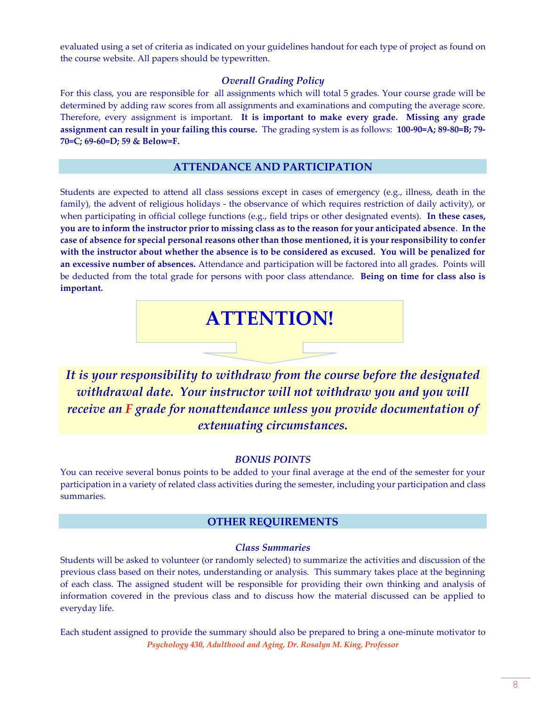evaluated using a set of criteria as indicated on your guidelines handout for each type of project as found on the course website. All papers should be typewritten.

# *Overall Grading Policy*

For this class, you are responsible for all assignments which will total 5 grades. Your course grade will be determined by adding raw scores from all assignments and examinations and computing the average score. Therefore, every assignment is important. **It is important to make every grade. Missing any grade assignment can result in your failing this course.** The grading system is as follows: **100-90=A; 89-80=B; 79- 70=C; 69-60=D; 59 & Below=F.**

# **ATTENDANCE AND PARTICIPATION**

Students are expected to attend all class sessions except in cases of emergency (e.g., illness, death in the family), the advent of religious holidays - the observance of which requires restriction of daily activity), or when participating in official college functions (e.g., field trips or other designated events). **In these cases, you are to inform the instructor prior to missing class as to the reason for your anticipated absence**. **In the case of absence for special personal reasons other than those mentioned, it is your responsibility to confer with the instructor about whether the absence is to be considered as excused. You will be penalized for an excessive number of absences.** Attendance and participation will be factored into all grades. Points will be deducted from the total grade for persons with poor class attendance. **Being on time for class also is important.**

# **ATTENTION!**

*It is your responsibility to withdraw from the course before the designated withdrawal date. Your instructor will not withdraw you and you will receive an F grade for nonattendance unless you provide documentation of extenuating circumstances.*

# *BONUS POINTS*

You can receive several bonus points to be added to your final average at the end of the semester for your participation in a variety of related class activities during the semester, including your participation and class summaries.

# **OTHER REQUIREMENTS**

#### *Class Summaries*

Students will be asked to volunteer (or randomly selected) to summarize the activities and discussion of the previous class based on their notes, understanding or analysis. This summary takes place at the beginning of each class. The assigned student will be responsible for providing their own thinking and analysis of information covered in the previous class and to discuss how the material discussed can be applied to everyday life.

*Psychology 430, Adulthood and Aging, Dr. Rosalyn M. King, Professor* Each student assigned to provide the summary should also be prepared to bring a one-minute motivator to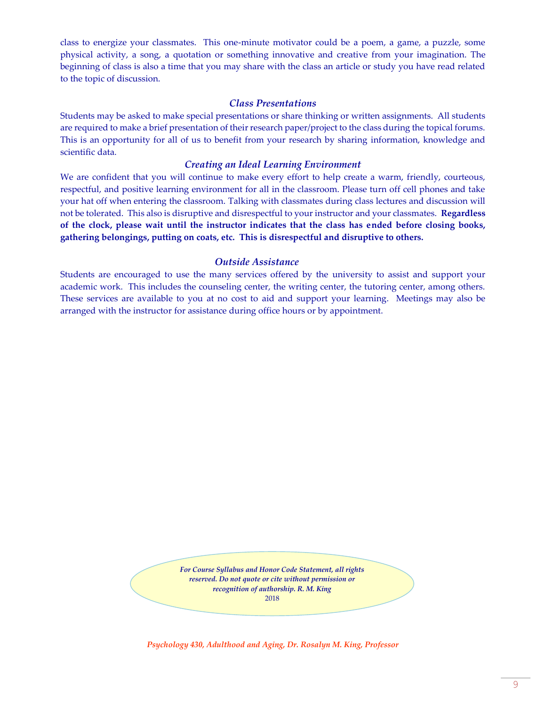class to energize your classmates. This one-minute motivator could be a poem, a game, a puzzle, some physical activity, a song, a quotation or something innovative and creative from your imagination. The beginning of class is also a time that you may share with the class an article or study you have read related to the topic of discussion.

### *Class Presentations*

Students may be asked to make special presentations or share thinking or written assignments. All students are required to make a brief presentation of their research paper/project to the class during the topical forums. This is an opportunity for all of us to benefit from your research by sharing information, knowledge and scientific data.

## *Creating an Ideal Learning Environment*

We are confident that you will continue to make every effort to help create a warm, friendly, courteous, respectful, and positive learning environment for all in the classroom. Please turn off cell phones and take your hat off when entering the classroom. Talking with classmates during class lectures and discussion will not be tolerated. This also is disruptive and disrespectful to your instructor and your classmates. **Regardless of the clock, please wait until the instructor indicates that the class has ended before closing books, gathering belongings, putting on coats, etc. This is disrespectful and disruptive to others.**

# *Outside Assistance*

Students are encouraged to use the many services offered by the university to assist and support your academic work. This includes the counseling center, the writing center, the tutoring center, among others. These services are available to you at no cost to aid and support your learning. Meetings may also be arranged with the instructor for assistance during office hours or by appointment.

> *For Course Syllabus and Honor Code Statement, all rights reserved. Do not quote or cite without permission or recognition of authorship. R. M. King* 2018